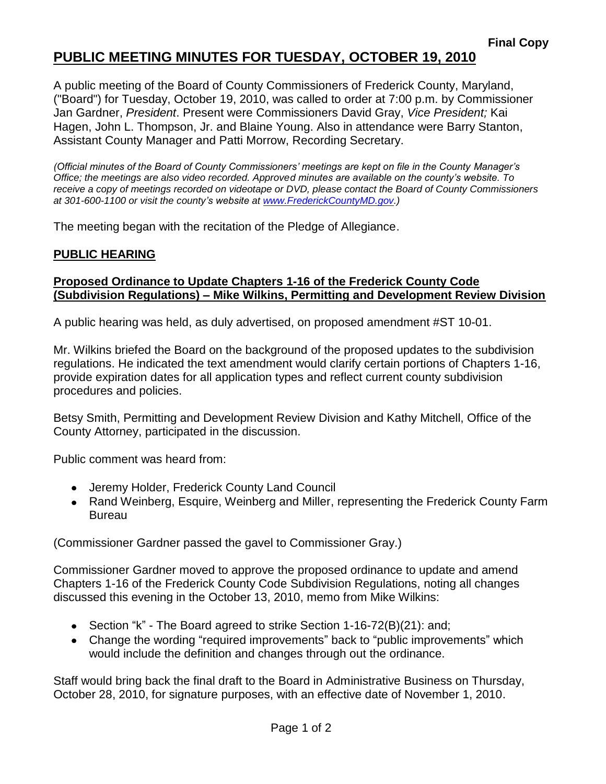## **PUBLIC MEETING MINUTES FOR TUESDAY, OCTOBER 19, 2010**

A public meeting of the Board of County Commissioners of Frederick County, Maryland, ("Board") for Tuesday, October 19, 2010, was called to order at 7:00 p.m. by Commissioner Jan Gardner, *President*. Present were Commissioners David Gray, *Vice President;* Kai Hagen, John L. Thompson, Jr. and Blaine Young. Also in attendance were Barry Stanton, Assistant County Manager and Patti Morrow, Recording Secretary.

*(Official minutes of the Board of County Commissioners' meetings are kept on file in the County Manager's Office; the meetings are also video recorded. Approved minutes are available on the county's website. To receive a copy of meetings recorded on videotape or DVD, please contact the Board of County Commissioners at 301-600-1100 or visit the county's website at [www.FrederickCountyMD.gov.](http://www.frederickcountymd.gov/))*

The meeting began with the recitation of the Pledge of Allegiance.

### **PUBLIC HEARING**

#### **Proposed Ordinance to Update Chapters 1-16 of the Frederick County Code (Subdivision Regulations) – Mike Wilkins, Permitting and Development Review Division**

A public hearing was held, as duly advertised, on proposed amendment #ST 10-01.

Mr. Wilkins briefed the Board on the background of the proposed updates to the subdivision regulations. He indicated the text amendment would clarify certain portions of Chapters 1-16, provide expiration dates for all application types and reflect current county subdivision procedures and policies.

Betsy Smith, Permitting and Development Review Division and Kathy Mitchell, Office of the County Attorney, participated in the discussion.

Public comment was heard from:

- Jeremy Holder, Frederick County Land Council
- Rand Weinberg, Esquire, Weinberg and Miller, representing the Frederick County Farm **Bureau**

(Commissioner Gardner passed the gavel to Commissioner Gray.)

Commissioner Gardner moved to approve the proposed ordinance to update and amend Chapters 1-16 of the Frederick County Code Subdivision Regulations, noting all changes discussed this evening in the October 13, 2010, memo from Mike Wilkins:

- Section "k" The Board agreed to strike Section 1-16-72(B)(21): and;
- Change the wording "required improvements" back to "public improvements" which would include the definition and changes through out the ordinance.

Staff would bring back the final draft to the Board in Administrative Business on Thursday, October 28, 2010, for signature purposes, with an effective date of November 1, 2010.